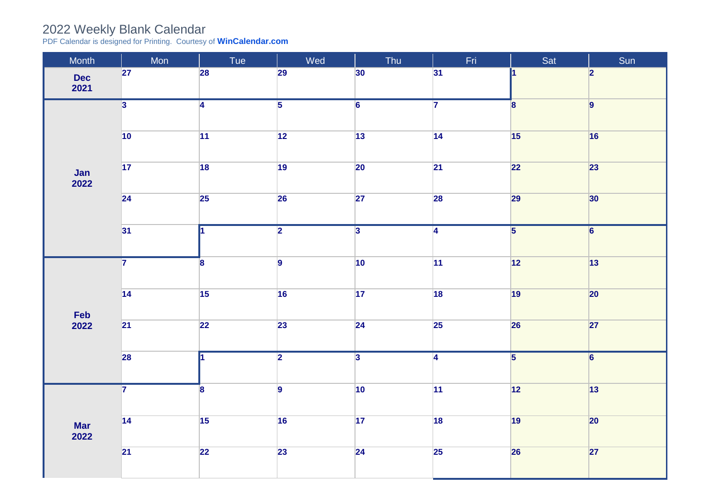## 2022 Weekly Blank Calendar

PDF Calendar is designed for Printing. Courtesy of **[WinCalendar.com](https://www.wincalendar.com/UK/2022-Word-Calendar)**

| Month               | Mon                     | Tue                     | Wed             | Thu             | Fri             | Sat                     | Sun            |
|---------------------|-------------------------|-------------------------|-----------------|-----------------|-----------------|-------------------------|----------------|
| <b>Dec</b><br>2021  | 27                      | 28                      | 29              | 30              | 31              | И.                      | 2              |
| Jan<br>2022         | $\overline{3}$          | $\overline{4}$          | $\overline{5}$  | $\overline{6}$  | $\overline{7}$  | $\overline{\mathbf{8}}$ | 9              |
|                     | $\overline{10}$         | $\overline{11}$         | $\overline{12}$ | $\overline{13}$ | 14              | 15                      | 16             |
|                     | $\overline{17}$         | 18                      | $\overline{19}$ | $\overline{20}$ | $\overline{21}$ | 22                      | 23             |
|                     | $\overline{24}$         | 25                      | 26              | 27              | 28              | 29                      | 30             |
|                     | 31                      | 1                       | $\overline{2}$  | $\overline{3}$  | $\overline{4}$  | $\overline{\mathbf{5}}$ | $\overline{6}$ |
| Feb<br>2022         | $\overline{7}$          | 8                       | $\vert$ 9       | 10              | 11              | 12                      | 13             |
|                     | $\overline{14}$         | 15                      | 16              | 17              | 18              | 19                      | 20             |
|                     | $\overline{21}$         | $\overline{22}$         | 23              | $\overline{24}$ | 25              | 26                      | 27             |
|                     | 28                      | ł1                      | $\overline{2}$  | $\overline{3}$  | $\overline{4}$  | $\overline{5}$          | $\overline{6}$ |
| <b>Mar<br/>2022</b> | $\overline{\mathbf{7}}$ | $\overline{\mathbf{8}}$ | $\overline{9}$  | 10              | 11              | 12                      | 13             |
|                     | $\overline{14}$         | 15                      | 16              | 17              | 18              | 19                      | $ 20\rangle$   |
|                     | $\overline{21}$         | $\overline{22}$         | 23              | 24              | 25              | <b>26</b>               | 27             |
|                     |                         |                         |                 |                 |                 |                         |                |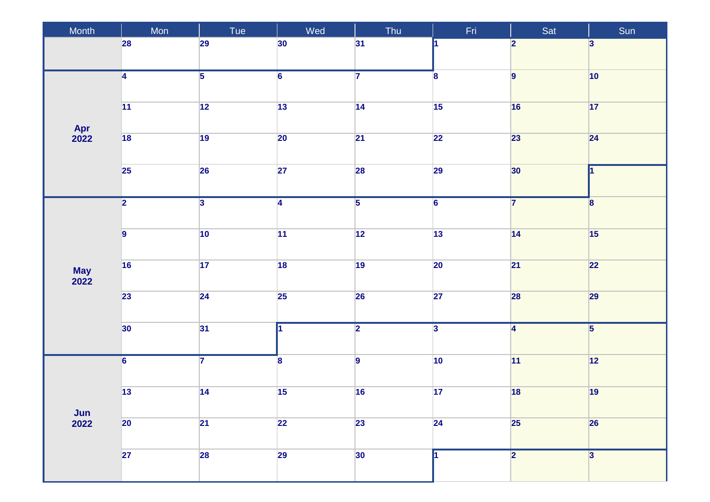| Month                            | Mon                     | Tue            | Wed             | Thu            | Fri              | Sat                     | Sun                     |
|----------------------------------|-------------------------|----------------|-----------------|----------------|------------------|-------------------------|-------------------------|
|                                  | 28                      | 29             | 30              | 31             |                  | $\overline{\mathbf{2}}$ | $\vert$ 3               |
|                                  | $\overline{4}$          | $\overline{5}$ | $\overline{6}$  | $\overline{7}$ | $\boldsymbol{8}$ | $\overline{9}$          | $ 10\rangle$            |
|                                  | 11                      | $\boxed{12}$   | $\boxed{13}$    | 14             | 15               | 16                      | 17                      |
| Apr<br>2022                      | $\overline{18}$         | 19             | $\overline{20}$ | 21             | $\overline{22}$  | 23                      | 24                      |
|                                  | 25                      | 26             | 27              | 28             | 29               | 30 <sub>o</sub>         | 1                       |
|                                  | $\overline{2}$          | $\overline{3}$ | $\overline{4}$  | $\overline{5}$ | $\overline{6}$   | $\overline{7}$          | $\boldsymbol{8}$        |
|                                  |                         |                |                 |                |                  |                         |                         |
|                                  | $\overline{9}$          | 10             | 11              | $\boxed{12}$   | $\overline{13}$  | 14                      | 15                      |
| <b>May<br/>2022</b>              | 16                      | 17             | 18              | 19             | 20               | 21                      | 22                      |
|                                  | 23                      | 24             | 25              | <b>26</b>      | 27               | 28                      | 29                      |
|                                  | 30 <sup>°</sup>         | 31             | I1              | $\overline{2}$ | $\overline{3}$   | $\overline{4}$          | $\overline{\mathbf{5}}$ |
|                                  | $\overline{\mathbf{6}}$ | $\overline{7}$ | $\mathbf{8}$    | $\overline{9}$ | $ 10\rangle$     | 11                      | 12                      |
| $\frac{\text{Jun}}{\text{2022}}$ | $\boxed{13}$            | 14             | $\overline{15}$ | 16             | $\overline{17}$  | 18                      | 19                      |
|                                  | $ 20\rangle$            | 21             | 22              | 23             | 24               | 25                      | 26                      |
|                                  | 27                      | <b>28</b>      | 29              | 30             |                  | $\overline{2}$          | $\overline{3}$          |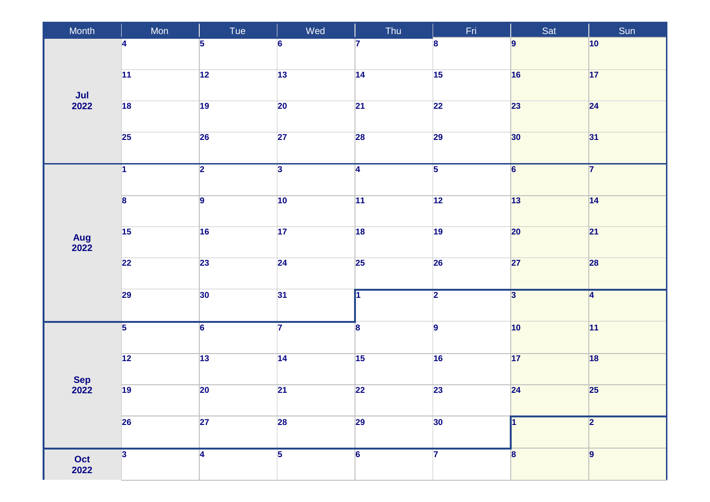| Month                       | Mon                     | Tue            | Wed                     | Thu                     | Fri              | Sat                     | Sun             |
|-----------------------------|-------------------------|----------------|-------------------------|-------------------------|------------------|-------------------------|-----------------|
| $\frac{\mathsf{Jul}}{2022}$ | 4                       | 5              | 6                       | 7                       | $\boldsymbol{8}$ | $\overline{9}$          | $ 10\rangle$    |
|                             | $\overline{11}$         | $\boxed{12}$   | 13                      | 14                      | 15               | 16                      | $\boxed{17}$    |
|                             | 18                      | 19             | $\overline{20}$         | 21                      | $\overline{22}$  | 23                      | 24              |
|                             | 25                      | 26             | $\overline{27}$         | 28                      | 29               | 30                      | 31              |
| Aug<br>2022                 | 1                       | $\overline{2}$ | $\overline{\mathbf{3}}$ | $\overline{4}$          | $\overline{5}$   | $\overline{6}$          | $\overline{7}$  |
|                             | $\overline{\mathbf{8}}$ | $\overline{9}$ | 10                      | 11                      | 12               | 13                      | 14              |
|                             | 15                      | 16             | $\overline{17}$         | 18                      | 19               | 20                      | $\overline{21}$ |
|                             | $\overline{22}$         | 23             | 24                      | $\overline{25}$         | 26               | 27                      | 28              |
|                             | 29                      | 30             | 31                      | и                       | $\overline{2}$   | $\overline{\mathbf{3}}$ | $\vert 4 \vert$ |
| Sep<br>2022                 | $\overline{5}$          | $\overline{6}$ | $\overline{\mathbf{7}}$ | $\overline{\mathbf{8}}$ | $\overline{9}$   | $ 10\rangle$            | 11              |
|                             | $\overline{12}$         | $\boxed{13}$   | 14                      | 15                      | 16               | 17                      | 18              |
|                             | 19                      | $ 20\rangle$   | $\overline{21}$         | $\overline{22}$         | 23               | 24                      | 25              |
|                             | <b>26</b>               | 27             | 28                      | 29                      | 30               |                         | 2               |
| Oct<br>2022                 | $\overline{\mathbf{3}}$ | $\overline{4}$ | $\overline{5}$          | $6\phantom{a}$          | $\overline{7}$   | 8                       | 9               |